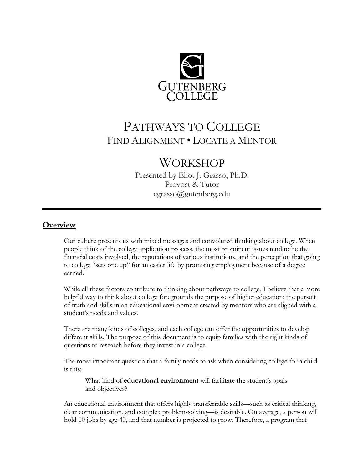

# PATHWAYS TO COLLEGE FIND ALIGNMENT • LOCATE A MENTOR

## **WORKSHOP**

Presented by Eliot J. Grasso, Ph.D. Provost & Tutor egrasso@gutenberg.edu

## **Overview**

Our culture presents us with mixed messages and convoluted thinking about college. When people think of the college application process, the most prominent issues tend to be the financial costs involved, the reputations of various institutions, and the perception that going to college "sets one up" for an easier life by promising employment because of a degree earned.

While all these factors contribute to thinking about pathways to college, I believe that a more helpful way to think about college foregrounds the purpose of higher education: the pursuit of truth and skills in an educational environment created by mentors who are aligned with a student's needs and values.

There are many kinds of colleges, and each college can offer the opportunities to develop different skills. The purpose of this document is to equip families with the right kinds of questions to research before they invest in a college.

The most important question that a family needs to ask when considering college for a child is this:

What kind of **educational environment** will facilitate the student's goals and objectives?

An educational environment that offers highly transferrable skills—such as critical thinking, clear communication, and complex problem-solving—is desirable. On average, a person will hold 10 jobs by age 40, and that number is projected to grow. Therefore, a program that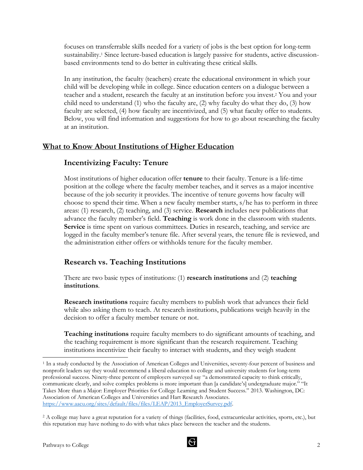focuses on transferrable skills needed for a variety of jobs is the best option for long-term sustainability.<sup>1</sup> Since lecture-based education is largely passive for students, active discussionbased environments tend to do better in cultivating these critical skills.

In any institution, the faculty (teachers) create the educational environment in which your child will be developing while in college. Since education centers on a dialogue between a teacher and a student, research the faculty at an institution before you invest.2 You and your child need to understand (1) who the faculty are, (2) why faculty do what they do, (3) how faculty are selected, (4) how faculty are incentivized, and (5) what faculty offer to students. Below, you will find information and suggestions for how to go about researching the faculty at an institution.

## **What to Know About Institutions of Higher Education**

## **Incentivizing Faculty: Tenure**

Most institutions of higher education offer **tenure** to their faculty. Tenure is a life-time position at the college where the faculty member teaches, and it serves as a major incentive because of the job security it provides. The incentive of tenure governs how faculty will choose to spend their time. When a new faculty member starts, s/he has to perform in three areas: (1) research, (2) teaching, and (3) service. **Research** includes new publications that advance the faculty member's field. **Teaching** is work done in the classroom with students. **Service** is time spent on various committees. Duties in research, teaching, and service are logged in the faculty member's tenure file. After several years, the tenure file is reviewed, and the administration either offers or withholds tenure for the faculty member.

## **Research vs. Teaching Institutions**

There are two basic types of institutions: (1) **research institutions** and (2) **teaching institutions**.

**Research institutions** require faculty members to publish work that advances their field while also asking them to teach. At research institutions, publications weigh heavily in the decision to offer a faculty member tenure or not.

**Teaching institutions** require faculty members to do significant amounts of teaching, and the teaching requirement is more significant than the research requirement. Teaching institutions incentivize their faculty to interact with students, and they weigh student<br><sup>1</sup> In a study conducted by the Association of American Colleges and Universities, seventy-four percent of business and



nonprofit leaders say they would recommend a liberal education to college and university students for long-term professional success. Ninety-three percent of employers surveyed say "a demonstrated capacity to think critically, communicate clearly, and solve complex problems is more important than [a candidate's] undergraduate major." "It Takes More than a Major: Employer Priorities for College Learning and Student Success." 2013. Washington, DC: Association of American Colleges and Universities and Hart Research Associates. https://www.aacu.org/sites/default/files/files/LEAP/2013\_EmployerSurvey.pdf.

<sup>2</sup> A college may have a great reputation for a variety of things (facilities, food, extracurricular activities, sports, etc.), but this reputation may have nothing to do with what takes place between the teacher and the students.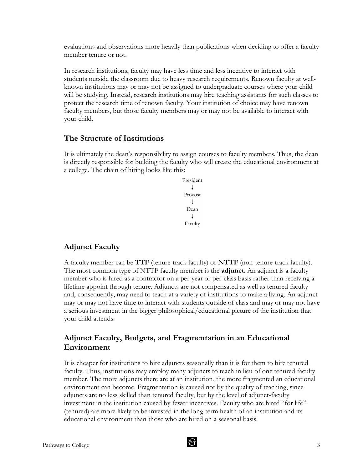evaluations and observations more heavily than publications when deciding to offer a faculty member tenure or not.

In research institutions, faculty may have less time and less incentive to interact with students outside the classroom due to heavy research requirements. Renown faculty at wellknown institutions may or may not be assigned to undergraduate courses where your child will be studying. Instead, research institutions may hire teaching assistants for such classes to protect the research time of renown faculty. Your institution of choice may have renown faculty members, but those faculty members may or may not be available to interact with your child.

#### **The Structure of Institutions**

It is ultimately the dean's responsibility to assign courses to faculty members. Thus, the dean is directly responsible for building the faculty who will create the educational environment at a college. The chain of hiring looks like this:

> President  $\overline{1}$ Provost  $\overline{1}$ Dean  $\perp$ Faculty

#### **Adjunct Faculty**

A faculty member can be **TTF** (tenure-track faculty) or **NTTF** (non-tenure-track faculty). The most common type of NTTF faculty member is the **adjunct**. An adjunct is a faculty member who is hired as a contractor on a per-year or per-class basis rather than receiving a lifetime appoint through tenure. Adjuncts are not compensated as well as tenured faculty and, consequently, may need to teach at a variety of institutions to make a living. An adjunct may or may not have time to interact with students outside of class and may or may not have a serious investment in the bigger philosophical/educational picture of the institution that your child attends.

## **Adjunct Faculty, Budgets, and Fragmentation in an Educational Environment**

It is cheaper for institutions to hire adjuncts seasonally than it is for them to hire tenured faculty. Thus, institutions may employ many adjuncts to teach in lieu of one tenured faculty member. The more adjuncts there are at an institution, the more fragmented an educational environment can become. Fragmentation is caused not by the quality of teaching, since adjuncts are no less skilled than tenured faculty, but by the level of adjunct-faculty investment in the institution caused by fewer incentives. Faculty who are hired "for life" (tenured) are more likely to be invested in the long-term health of an institution and its educational environment than those who are hired on a seasonal basis.

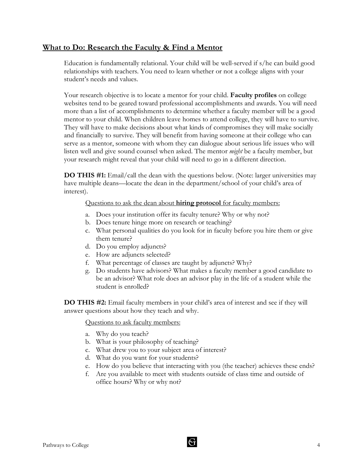## **What to Do: Research the Faculty & Find a Mentor**

Education is fundamentally relational. Your child will be well-served if s/he can build good relationships with teachers. You need to learn whether or not a college aligns with your student's needs and values.

Your research objective is to locate a mentor for your child. **Faculty profiles** on college websites tend to be geared toward professional accomplishments and awards. You will need more than a list of accomplishments to determine whether a faculty member will be a good mentor to your child. When children leave homes to attend college, they will have to survive. They will have to make decisions about what kinds of compromises they will make socially and financially to survive. They will benefit from having someone at their college who can serve as a mentor, someone with whom they can dialogue about serious life issues who will listen well and give sound counsel when asked. The mentor *might* be a faculty member, but your research might reveal that your child will need to go in a different direction.

**DO THIS #1:** Email/call the dean with the questions below. (Note: larger universities may have multiple deans—locate the dean in the department/school of your child's area of interest).

Questions to ask the dean about **hiring protocol** for faculty members:

- a. Does your institution offer its faculty tenure? Why or why not?
- b. Does tenure hinge more on research or teaching?
- c. What personal qualities do you look for in faculty before you hire them or give them tenure?
- d. Do you employ adjuncts?
- e. How are adjuncts selected?
- f. What percentage of classes are taught by adjuncts? Why?
- g. Do students have advisors? What makes a faculty member a good candidate to be an advisor? What role does an advisor play in the life of a student while the student is enrolled?

**DO THIS #2:** Email faculty members in your child's area of interest and see if they will answer questions about how they teach and why.

Questions to ask faculty members:

- a. Why do you teach?
- b. What is your philosophy of teaching?
- c. What drew you to your subject area of interest?
- d. What do you want for your students?
- e. How do you believe that interacting with you (the teacher) achieves these ends?
- f. Are you available to meet with students outside of class time and outside of office hours? Why or why not?